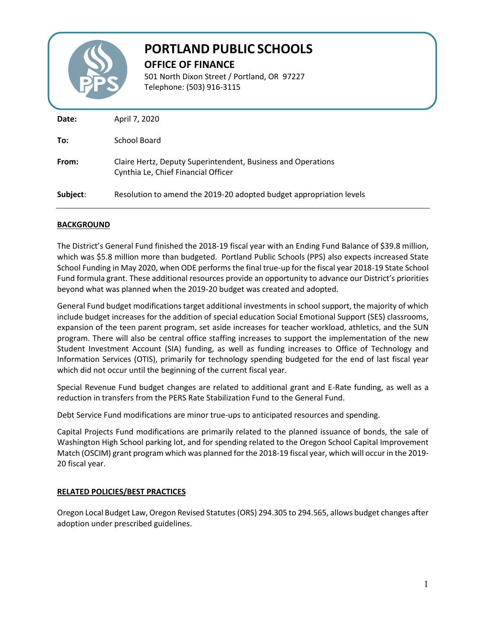

# **PORTLAND PUBLIC SCHOOLS**

**OFFICE OF FINANCE**

501 North Dixon Street / Portland, OR 97227 Telephone: (503) 916-3115

| Date:    | April 7, 2020                                                                                       |
|----------|-----------------------------------------------------------------------------------------------------|
| To:      | School Board                                                                                        |
| From:    | Claire Hertz, Deputy Superintendent, Business and Operations<br>Cynthia Le, Chief Financial Officer |
| Subject: | Resolution to amend the 2019-20 adopted budget appropriation levels                                 |

### **BACKGROUND**

The District's General Fund finished the 2018-19 fiscal year with an Ending Fund Balance of \$39.8 million, which was \$5.8 million more than budgeted. Portland Public Schools (PPS) also expects increased State School Funding in May 2020, when ODE performs the final true-up for the fiscal year 2018-19 State School Fund formula grant. These additional resources provide an opportunity to advance our District's priorities beyond what was planned when the 2019-20 budget was created and adopted.

General Fund budget modifications target additional investments in school support, the majority of which include budget increases for the addition of special education Social Emotional Support (SES) classrooms, expansion of the teen parent program, set aside increases for teacher workload, athletics, and the SUN program. There will also be central office staffing increases to support the implementation of the new Student Investment Account (SIA) funding, as well as funding increases to Office of Technology and Information Services (OTIS), primarily for technology spending budgeted for the end of last fiscal year which did not occur until the beginning of the current fiscal year.

Special Revenue Fund budget changes are related to additional grant and E-Rate funding, as well as a reduction in transfers from the PERS Rate Stabilization Fund to the General Fund.

Debt Service Fund modifications are minor true-ups to anticipated resources and spending.

Capital Projects Fund modifications are primarily related to the planned issuance of bonds, the sale of Washington High School parking lot, and for spending related to the Oregon School Capital Improvement Match (OSCIM) grant program which was planned for the 2018-19 fiscal year, which will occur in the 2019- 20 fiscal year.

### **RELATED POLICIES/BEST PRACTICES**

Oregon Local Budget Law, Oregon Revised Statutes (ORS) 294.305 to 294.565, allows budget changes after adoption under prescribed guidelines.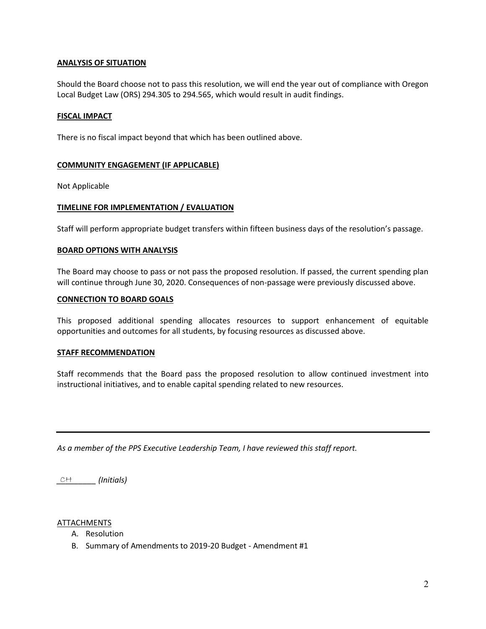### **ANALYSIS OF SITUATION**

Should the Board choose not to pass this resolution, we will end the year out of compliance with Oregon Local Budget Law (ORS) 294.305 to 294.565, which would result in audit findings.

#### **FISCAL IMPACT**

There is no fiscal impact beyond that which has been outlined above.

#### **COMMUNITY ENGAGEMENT (IF APPLICABLE)**

Not Applicable

#### **TIMELINE FOR IMPLEMENTATION / EVALUATION**

Staff will perform appropriate budget transfers within fifteen business days of the resolution's passage.

#### **BOARD OPTIONS WITH ANALYSIS**

The Board may choose to pass or not pass the proposed resolution. If passed, the current spending plan will continue through June 30, 2020. Consequences of non-passage were previously discussed above.

#### **CONNECTION TO BOARD GOALS**

This proposed additional spending allocates resources to support enhancement of equitable opportunities and outcomes for all students, by focusing resources as discussed above.

#### **STAFF RECOMMENDATION**

Staff recommends that the Board pass the proposed resolution to allow continued investment into instructional initiatives, and to enable capital spending related to new resources.

*As a member of the PPS Executive Leadership Team, I have reviewed this staff report.* 

*\_\_\_\_\_\_\_\_\_ (Initials)* CH

#### **ATTACHMENTS**

- A. Resolution
- B. Summary of Amendments to 2019-20 Budget Amendment #1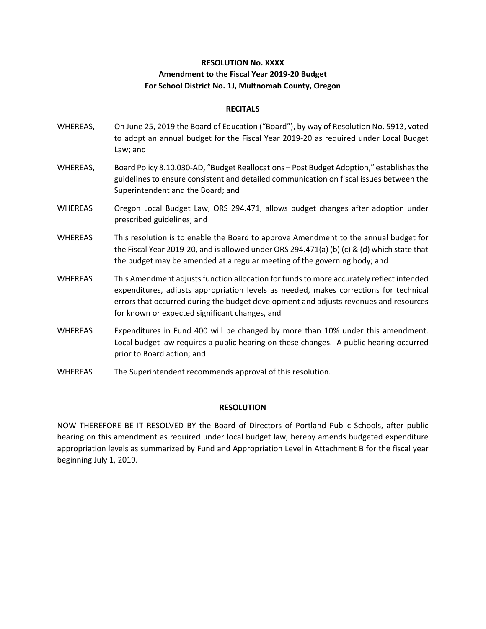## **RESOLUTION No. XXXX Amendment to the Fiscal Year 2019‐20 Budget For School District No. 1J, Multnomah County, Oregon**

#### **RECITALS**

- WHEREAS, On June 25, 2019 the Board of Education ("Board"), by way of Resolution No. 5913, voted to adopt an annual budget for the Fiscal Year 2019‐20 as required under Local Budget Law; and
- WHEREAS, Board Policy 8.10.030‐AD, "Budget Reallocations Post Budget Adoption," establishes the guidelines to ensure consistent and detailed communication on fiscal issues between the Superintendent and the Board; and
- WHEREAS Oregon Local Budget Law, ORS 294.471, allows budget changes after adoption under prescribed guidelines; and
- WHEREAS This resolution is to enable the Board to approve Amendment to the annual budget for the Fiscal Year 2019‐20, and is allowed under ORS 294.471(a) (b) (c) & (d) which state that the budget may be amended at a regular meeting of the governing body; and
- WHEREAS This Amendment adjusts function allocation for funds to more accurately reflect intended expenditures, adjusts appropriation levels as needed, makes corrections for technical errors that occurred during the budget development and adjusts revenues and resources for known or expected significant changes, and
- WHEREAS Expenditures in Fund 400 will be changed by more than 10% under this amendment. Local budget law requires a public hearing on these changes. A public hearing occurred prior to Board action; and
- WHEREAS The Superintendent recommends approval of this resolution.

#### **RESOLUTION**

NOW THEREFORE BE IT RESOLVED BY the Board of Directors of Portland Public Schools, after public hearing on this amendment as required under local budget law, hereby amends budgeted expenditure appropriation levels as summarized by Fund and Appropriation Level in Attachment B for the fiscal year beginning July 1, 2019.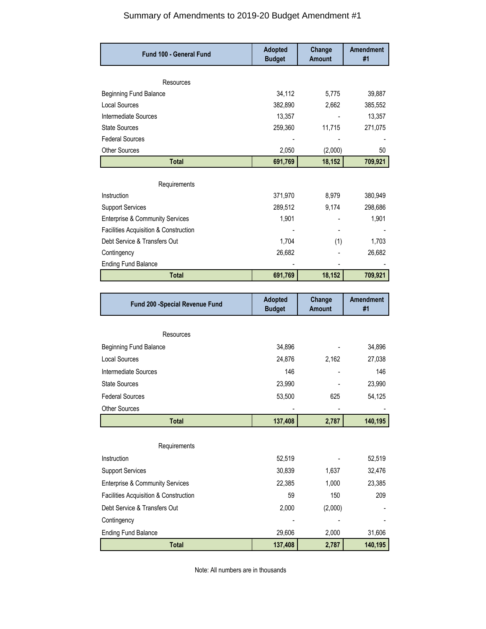## Summary of Amendments to 2019-20 Budget Amendment #1

| Fund 100 - General Fund                    | <b>Adopted</b><br><b>Budget</b> | Change<br><b>Amount</b> | <b>Amendment</b><br>#1 |
|--------------------------------------------|---------------------------------|-------------------------|------------------------|
| Resources                                  |                                 |                         |                        |
| <b>Beginning Fund Balance</b>              | 34,112                          | 5,775                   | 39,887                 |
| <b>Local Sources</b>                       | 382,890                         | 2,662                   | 385,552                |
| Intermediate Sources                       | 13,357                          |                         | 13,357                 |
| <b>State Sources</b>                       | 259,360                         | 11,715                  | 271,075                |
| <b>Federal Sources</b>                     |                                 |                         |                        |
| <b>Other Sources</b>                       | 2,050                           | (2,000)                 | 50                     |
| <b>Total</b>                               | 691,769                         | 18,152                  | 709,921                |
| Requirements                               |                                 |                         |                        |
| Instruction                                | 371,970                         | 8,979                   | 380,949                |
| <b>Support Services</b>                    | 289,512                         | 9,174                   | 298,686                |
| <b>Enterprise &amp; Community Services</b> | 1,901                           |                         | 1,901                  |
| Facilities Acquisition & Construction      |                                 | $\blacksquare$          |                        |
| Debt Service & Transfers Out               | 1,704                           | (1)                     | 1,703                  |
| Contingency                                | 26,682                          |                         | 26,682                 |
| <b>Ending Fund Balance</b>                 |                                 |                         |                        |
| <b>Total</b>                               | 691,769                         | 18,152                  | 709,921                |
|                                            |                                 |                         |                        |
|                                            |                                 |                         |                        |
| Fund 200 -Special Revenue Fund             | <b>Adopted</b><br><b>Budget</b> | Change<br><b>Amount</b> | Amendment<br>#1        |
|                                            |                                 |                         |                        |
| Resources                                  |                                 |                         |                        |
| <b>Beginning Fund Balance</b>              | 34,896                          |                         | 34,896                 |
| <b>Local Sources</b>                       | 24,876                          | 2,162                   | 27,038                 |
| Intermediate Sources                       | 146                             |                         | 146                    |
| <b>State Sources</b>                       | 23,990                          |                         | 23,990                 |
| <b>Federal Sources</b>                     | 53,500                          | 625                     | 54,125                 |
| <b>Other Sources</b>                       |                                 |                         |                        |
| <b>Total</b>                               | 137,408                         | 2,787                   | 140,195                |
| Requirements                               |                                 |                         |                        |
| Instruction                                | 52,519                          |                         | 52,519                 |
| <b>Support Services</b>                    | 30,839                          | 1,637                   | 32,476                 |
| <b>Enterprise &amp; Community Services</b> | 22,385                          | 1,000                   | 23,385                 |
| Facilities Acquisition & Construction      | 59                              | 150                     | 209                    |
| Debt Service & Transfers Out               | 2,000                           | (2,000)                 |                        |
| Contingency                                |                                 |                         |                        |
| <b>Ending Fund Balance</b>                 | 29,606                          | 2,000                   | 31,606                 |

Note: All numbers are in thousands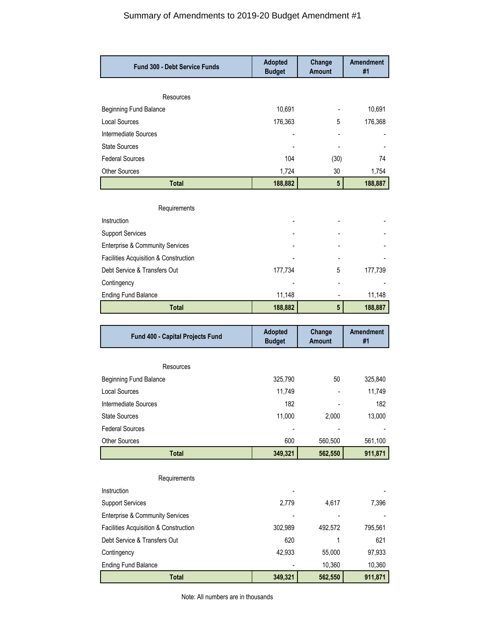## Summary of Amendments to 2019-20 Budget Amendment #1

| <b>Fund 300 - Debt Service Funds</b>                                  | <b>Adopted</b><br><b>Budget</b> | Change<br>Amount        | <b>Amendment</b><br>#1 |
|-----------------------------------------------------------------------|---------------------------------|-------------------------|------------------------|
|                                                                       |                                 |                         |                        |
| Resources                                                             |                                 |                         |                        |
| <b>Beginning Fund Balance</b>                                         | 10,691                          |                         | 10,691                 |
| <b>Local Sources</b>                                                  | 176,363                         | 5                       | 176,368                |
| Intermediate Sources                                                  |                                 |                         |                        |
| <b>State Sources</b>                                                  |                                 |                         |                        |
| <b>Federal Sources</b>                                                | 104                             | (30)                    | 74                     |
| Other Sources                                                         | 1,724                           | 30                      | 1,754                  |
| <b>Total</b>                                                          | 188,882                         | $5\phantom{.0}$         | 188,887                |
| Requirements                                                          |                                 |                         |                        |
| Instruction                                                           |                                 |                         |                        |
| <b>Support Services</b>                                               |                                 |                         |                        |
|                                                                       |                                 |                         |                        |
| <b>Enterprise &amp; Community Services</b>                            |                                 |                         |                        |
| Facilities Acquisition & Construction<br>Debt Service & Transfers Out | 177,734                         |                         |                        |
|                                                                       |                                 | 5                       | 177,739                |
| Contingency                                                           |                                 |                         |                        |
| <b>Ending Fund Balance</b>                                            | 11,148                          |                         | 11,148                 |
| <b>Total</b>                                                          | 188,882                         | $5\phantom{.0}$         | 188,887                |
|                                                                       |                                 |                         |                        |
| Fund 400 - Capital Projects Fund                                      | <b>Adopted</b><br><b>Budget</b> | Change<br><b>Amount</b> | <b>Amendment</b><br>#1 |
|                                                                       |                                 |                         |                        |
| Resources                                                             |                                 |                         |                        |
| <b>Beginning Fund Balance</b>                                         | 325,790                         | 50                      | 325,840                |
| Local Sources                                                         | 11,749                          |                         | 11,749                 |
| Intermediate Sources                                                  | 182                             |                         | 182                    |
| <b>State Sources</b>                                                  | 11,000                          | 2,000                   | 13,000                 |
| <b>Federal Sources</b>                                                |                                 |                         |                        |
| <b>Other Sources</b>                                                  | 600                             | 560,500                 | 561,100                |
| <b>Total</b>                                                          | 349,321                         | 562,550                 | 911,871                |
|                                                                       |                                 |                         |                        |
| Requirements                                                          |                                 |                         |                        |
| Instruction                                                           |                                 |                         |                        |
| <b>Support Services</b>                                               | 2,779                           | 4,617                   | 7,396                  |
| <b>Enterprise &amp; Community Services</b>                            |                                 |                         |                        |
| Facilities Acquisition & Construction                                 | 302,989                         | 492,572                 | 795,561                |
| Debt Service & Transfers Out                                          | 620                             | 1                       | 621                    |
| Contingency                                                           | 42,933                          | 55,000                  | 97,933                 |
| <b>Ending Fund Balance</b><br><b>Total</b>                            | 349,321                         | 10,360<br>562,550       | 10,360<br>911,871      |